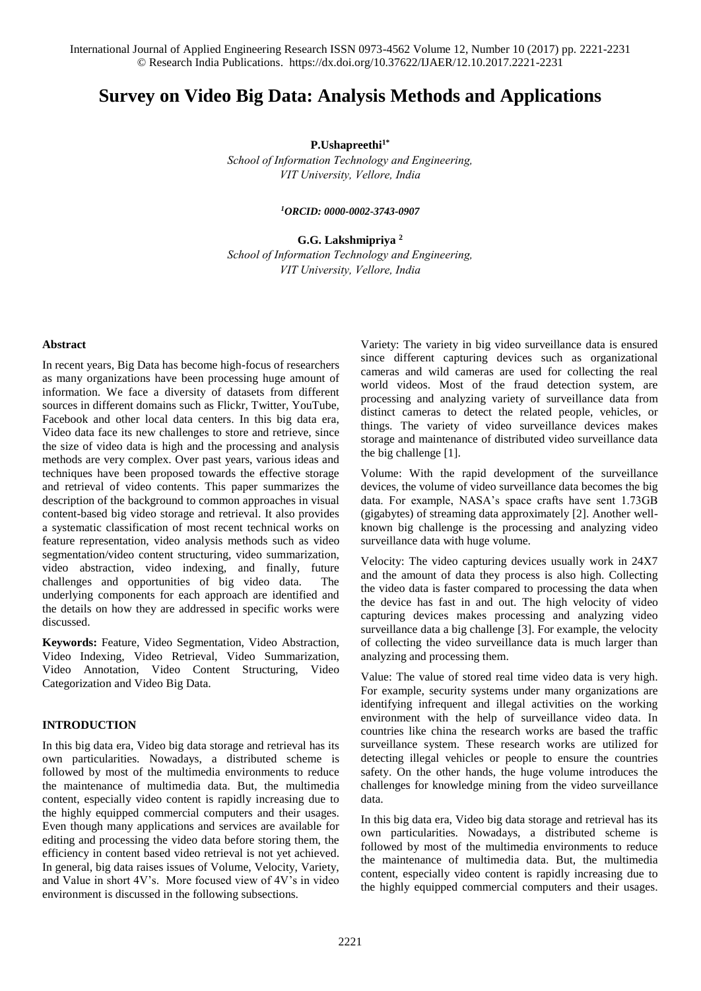# **Survey on Video Big Data: Analysis Methods and Applications**

**P.Ushapreethi1\***

*School of Information Technology and Engineering, VIT University, Vellore, India* 

*<sup>1</sup>ORCID[: 0000-0002-3743-0907](http://orcid.org/0000-0002-3743-0907)*

**G.G. Lakshmipriya <sup>2</sup>** *School of Information Technology and Engineering, VIT University, Vellore, India* 

#### **Abstract**

In recent years, Big Data has become high-focus of researchers as many organizations have been processing huge amount of information. We face a diversity of datasets from different sources in different domains such as Flickr, Twitter, YouTube, Facebook and other local data centers. In this big data era, Video data face its new challenges to store and retrieve, since the size of video data is high and the processing and analysis methods are very complex. Over past years, various ideas and techniques have been proposed towards the effective storage and retrieval of video contents. This paper summarizes the description of the background to common approaches in visual content-based big video storage and retrieval. It also provides a systematic classification of most recent technical works on feature representation, video analysis methods such as video segmentation/video content structuring, video summarization, video abstraction, video indexing, and finally, future challenges and opportunities of big video data. The underlying components for each approach are identified and the details on how they are addressed in specific works were discussed.

**Keywords:** Feature, Video Segmentation, Video Abstraction, Video Indexing, Video Retrieval, Video Summarization, Video Annotation, Video Content Structuring, Video Categorization and Video Big Data.

### **INTRODUCTION**

In this big data era, Video big data storage and retrieval has its own particularities. Nowadays, a distributed scheme is followed by most of the multimedia environments to reduce the maintenance of multimedia data. But, the multimedia content, especially video content is rapidly increasing due to the highly equipped commercial computers and their usages. Even though many applications and services are available for editing and processing the video data before storing them, the efficiency in content based video retrieval is not yet achieved. In general, big data raises issues of Volume, Velocity, Variety, and Value in short 4V's. More focused view of 4V's in video environment is discussed in the following subsections.

Variety: The variety in big video surveillance data is ensured since different capturing devices such as organizational cameras and wild cameras are used for collecting the real world videos. Most of the fraud detection system, are processing and analyzing variety of surveillance data from distinct cameras to detect the related people, vehicles, or things. The variety of video surveillance devices makes storage and maintenance of distributed video surveillance data the big challenge [1].

Volume: With the rapid development of the surveillance devices, the volume of video surveillance data becomes the big data. For example, NASA's space crafts have sent 1.73GB (gigabytes) of streaming data approximately [2]. Another wellknown big challenge is the processing and analyzing video surveillance data with huge volume.

Velocity: The video capturing devices usually work in 24X7 and the amount of data they process is also high. Collecting the video data is faster compared to processing the data when the device has fast in and out. The high velocity of video capturing devices makes processing and analyzing video surveillance data a big challenge [3]. For example, the velocity of collecting the video surveillance data is much larger than analyzing and processing them.

Value: The value of stored real time video data is very high. For example, security systems under many organizations are identifying infrequent and illegal activities on the working environment with the help of surveillance video data. In countries like china the research works are based the traffic surveillance system. These research works are utilized for detecting illegal vehicles or people to ensure the countries safety. On the other hands, the huge volume introduces the challenges for knowledge mining from the video surveillance data.

In this big data era, Video big data storage and retrieval has its own particularities. Nowadays, a distributed scheme is followed by most of the multimedia environments to reduce the maintenance of multimedia data. But, the multimedia content, especially video content is rapidly increasing due to the highly equipped commercial computers and their usages.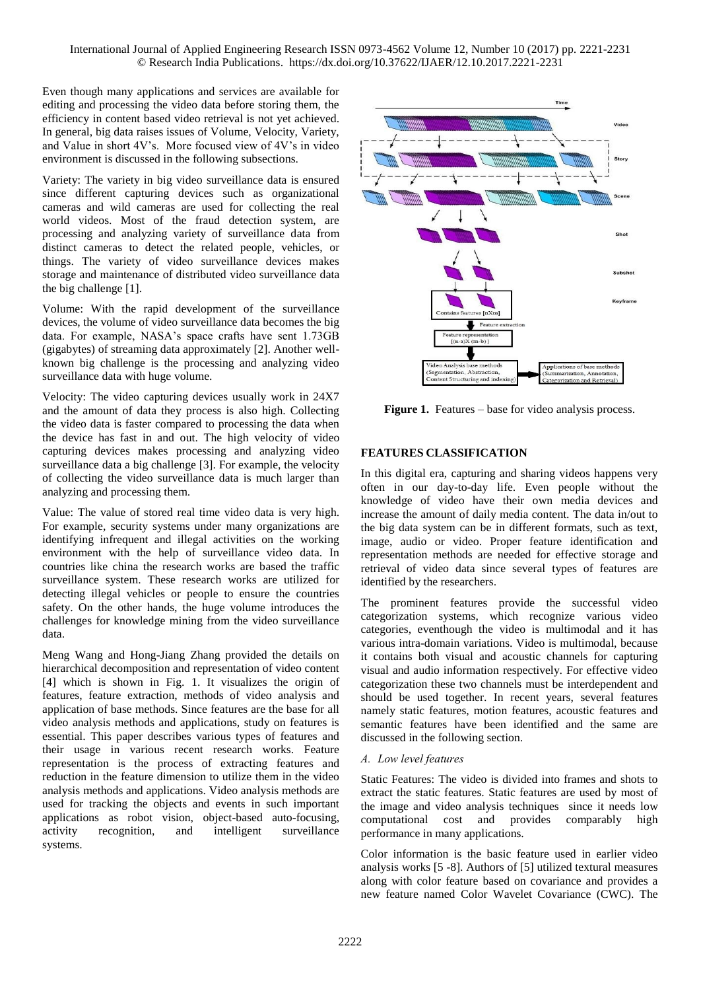Even though many applications and services are available for editing and processing the video data before storing them, the efficiency in content based video retrieval is not yet achieved. In general, big data raises issues of Volume, Velocity, Variety, and Value in short 4V's. More focused view of 4V's in video environment is discussed in the following subsections.

Variety: The variety in big video surveillance data is ensured since different capturing devices such as organizational cameras and wild cameras are used for collecting the real world videos. Most of the fraud detection system, are processing and analyzing variety of surveillance data from distinct cameras to detect the related people, vehicles, or things. The variety of video surveillance devices makes storage and maintenance of distributed video surveillance data the big challenge [1].

Volume: With the rapid development of the surveillance devices, the volume of video surveillance data becomes the big data. For example, NASA's space crafts have sent 1.73GB (gigabytes) of streaming data approximately [2]. Another wellknown big challenge is the processing and analyzing video surveillance data with huge volume.

Velocity: The video capturing devices usually work in 24X7 and the amount of data they process is also high. Collecting the video data is faster compared to processing the data when the device has fast in and out. The high velocity of video capturing devices makes processing and analyzing video surveillance data a big challenge [3]. For example, the velocity of collecting the video surveillance data is much larger than analyzing and processing them.

Value: The value of stored real time video data is very high. For example, security systems under many organizations are identifying infrequent and illegal activities on the working environment with the help of surveillance video data. In countries like china the research works are based the traffic surveillance system. These research works are utilized for detecting illegal vehicles or people to ensure the countries safety. On the other hands, the huge volume introduces the challenges for knowledge mining from the video surveillance data.

Meng Wang and Hong-Jiang Zhang provided the details on hierarchical decomposition and representation of video content [4] which is shown in Fig. 1. It visualizes the origin of features, feature extraction, methods of video analysis and application of base methods. Since features are the base for all video analysis methods and applications, study on features is essential. This paper describes various types of features and their usage in various recent research works. Feature representation is the process of extracting features and reduction in the feature dimension to utilize them in the video analysis methods and applications. Video analysis methods are used for tracking the objects and events in such important applications as robot vision, object-based auto-focusing, activity recognition, and intelligent surveillance systems.



**Figure 1.** Features – base for video analysis process.

# **FEATURES CLASSIFICATION**

In this digital era, capturing and sharing videos happens very often in our day-to-day life. Even people without the knowledge of video have their own media devices and increase the amount of daily media content. The data in/out to the big data system can be in different formats, such as text, image, audio or video. Proper feature identification and representation methods are needed for effective storage and retrieval of video data since several types of features are identified by the researchers.

The prominent features provide the successful video categorization systems, which recognize various video categories, eventhough the video is multimodal and it has various intra-domain variations. Video is multimodal, because it contains both visual and acoustic channels for capturing visual and audio information respectively. For effective video categorization these two channels must be interdependent and should be used together. In recent years, several features namely static features, motion features, acoustic features and semantic features have been identified and the same are discussed in the following section.

# *A. Low level features*

Static Features: The video is divided into frames and shots to extract the static features. Static features are used by most of the image and video analysis techniques since it needs low computational cost and provides comparably high performance in many applications.

Color information is the basic feature used in earlier video analysis works [5 -8]. Authors of [5] utilized textural measures along with color feature based on covariance and provides a new feature named Color Wavelet Covariance (CWC). The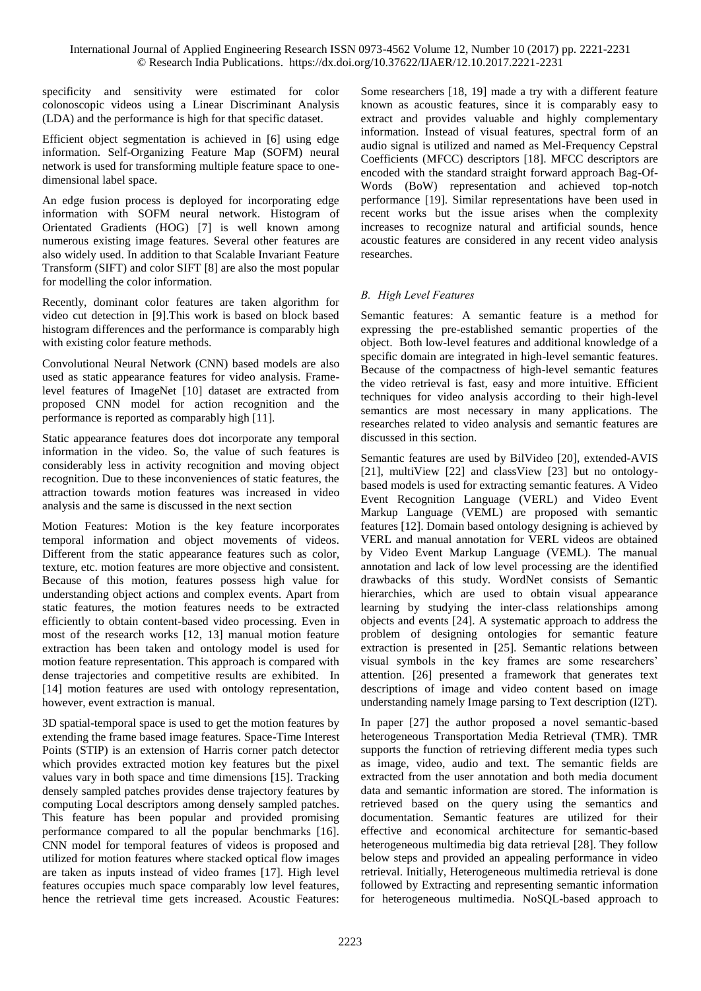specificity and sensitivity were estimated for color colonoscopic videos using a Linear Discriminant Analysis (LDA) and the performance is high for that specific dataset.

Efficient object segmentation is achieved in [6] using edge information. Self-Organizing Feature Map (SOFM) neural network is used for transforming multiple feature space to onedimensional label space.

An edge fusion process is deployed for incorporating edge information with SOFM neural network. Histogram of Orientated Gradients (HOG) [7] is well known among numerous existing image features. Several other features are also widely used. In addition to that Scalable Invariant Feature Transform (SIFT) and color SIFT [8] are also the most popular for modelling the color information.

Recently, dominant color features are taken algorithm for video cut detection in [9].This work is based on block based histogram differences and the performance is comparably high with existing color feature methods.

Convolutional Neural Network (CNN) based models are also used as static appearance features for video analysis. Framelevel features of ImageNet [10] dataset are extracted from proposed CNN model for action recognition and the performance is reported as comparably high [11].

Static appearance features does dot incorporate any temporal information in the video. So, the value of such features is considerably less in activity recognition and moving object recognition. Due to these inconveniences of static features, the attraction towards motion features was increased in video analysis and the same is discussed in the next section

Motion Features: Motion is the key feature incorporates temporal information and object movements of videos. Different from the static appearance features such as color, texture, etc. motion features are more objective and consistent. Because of this motion, features possess high value for understanding object actions and complex events. Apart from static features, the motion features needs to be extracted efficiently to obtain content-based video processing. Even in most of the research works [12, 13] manual motion feature extraction has been taken and ontology model is used for motion feature representation. This approach is compared with dense trajectories and competitive results are exhibited. In [14] motion features are used with ontology representation, however, event extraction is manual.

3D spatial-temporal space is used to get the motion features by extending the frame based image features. Space-Time Interest Points (STIP) is an extension of Harris corner patch detector which provides extracted motion key features but the pixel values vary in both space and time dimensions [15]. Tracking densely sampled patches provides dense trajectory features by computing Local descriptors among densely sampled patches. This feature has been popular and provided promising performance compared to all the popular benchmarks [16]. CNN model for temporal features of videos is proposed and utilized for motion features where stacked optical flow images are taken as inputs instead of video frames [17]. High level features occupies much space comparably low level features, hence the retrieval time gets increased. Acoustic Features:

Some researchers [18, 19] made a try with a different feature known as acoustic features, since it is comparably easy to extract and provides valuable and highly complementary information. Instead of visual features, spectral form of an audio signal is utilized and named as Mel-Frequency Cepstral Coefficients (MFCC) descriptors [18]. MFCC descriptors are encoded with the standard straight forward approach Bag-Of-Words (BoW) representation and achieved top-notch performance [19]. Similar representations have been used in recent works but the issue arises when the complexity increases to recognize natural and artificial sounds, hence acoustic features are considered in any recent video analysis researches.

# *B. High Level Features*

Semantic features: A semantic feature is a method for expressing the pre-established semantic properties of the object. Both low-level features and additional knowledge of a specific domain are integrated in high-level semantic features. Because of the compactness of high-level semantic features the video retrieval is fast, easy and more intuitive. Efficient techniques for video analysis according to their high-level semantics are most necessary in many applications. The researches related to video analysis and semantic features are discussed in this section.

Semantic features are used by BilVideo [20], extended-AVIS [21], multiView [22] and classView [23] but no ontologybased models is used for extracting semantic features. A Video Event Recognition Language (VERL) and Video Event Markup Language (VEML) are proposed with semantic features [12]. Domain based ontology designing is achieved by VERL and manual annotation for VERL videos are obtained by Video Event Markup Language (VEML). The manual annotation and lack of low level processing are the identified drawbacks of this study. WordNet consists of Semantic hierarchies, which are used to obtain visual appearance learning by studying the inter-class relationships among objects and events [24]. A systematic approach to address the problem of designing ontologies for semantic feature extraction is presented in [25]. Semantic relations between visual symbols in the key frames are some researchers' attention. [26] presented a framework that generates text descriptions of image and video content based on image understanding namely Image parsing to Text description (I2T).

In paper [27] the author proposed a novel semantic-based heterogeneous Transportation Media Retrieval (TMR). TMR supports the function of retrieving different media types such as image, video, audio and text. The semantic fields are extracted from the user annotation and both media document data and semantic information are stored. The information is retrieved based on the query using the semantics and documentation. Semantic features are utilized for their effective and economical architecture for semantic-based heterogeneous multimedia big data retrieval [28]. They follow below steps and provided an appealing performance in video retrieval. Initially, Heterogeneous multimedia retrieval is done followed by Extracting and representing semantic information for heterogeneous multimedia. NoSQL-based approach to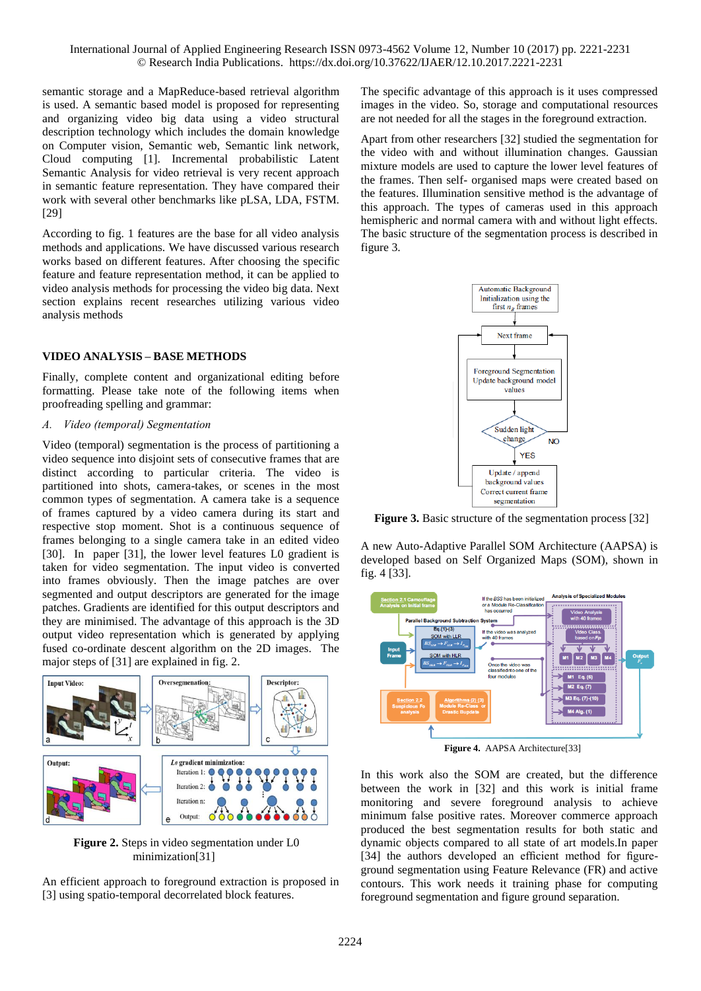semantic storage and a MapReduce-based retrieval algorithm is used. A semantic based model is proposed for representing and organizing video big data using a video structural description technology which includes the domain knowledge on Computer vision, Semantic web, Semantic link network, Cloud computing [1]. Incremental probabilistic Latent Semantic Analysis for video retrieval is very recent approach in semantic feature representation. They have compared their work with several other benchmarks like pLSA, LDA, FSTM. [29]

According to fig. 1 features are the base for all video analysis methods and applications. We have discussed various research works based on different features. After choosing the specific feature and feature representation method, it can be applied to video analysis methods for processing the video big data. Next section explains recent researches utilizing various video analysis methods

### **VIDEO ANALYSIS – BASE METHODS**

Finally, complete content and organizational editing before formatting. Please take note of the following items when proofreading spelling and grammar:

#### *A. Video (temporal) Segmentation*

Video (temporal) segmentation is the process of partitioning a video sequence into disjoint sets of consecutive frames that are distinct according to particular criteria. The video is partitioned into shots, camera-takes, or scenes in the most common types of segmentation. A camera take is a sequence of frames captured by a video camera during its start and respective stop moment. Shot is a continuous sequence of frames belonging to a single camera take in an edited video [30]. In paper [31], the lower level features L0 gradient is taken for video segmentation. The input video is converted into frames obviously. Then the image patches are over segmented and output descriptors are generated for the image patches. Gradients are identified for this output descriptors and they are minimised. The advantage of this approach is the 3D output video representation which is generated by applying fused co-ordinate descent algorithm on the 2D images. The major steps of [31] are explained in fig. 2.



**Figure 2.** Steps in video segmentation under L0 minimization[31]

An efficient approach to foreground extraction is proposed in [3] using spatio-temporal decorrelated block features.

The specific advantage of this approach is it uses compressed images in the video. So, storage and computational resources are not needed for all the stages in the foreground extraction.

Apart from other researchers [32] studied the segmentation for the video with and without illumination changes. Gaussian mixture models are used to capture the lower level features of the frames. Then self- organised maps were created based on the features. Illumination sensitive method is the advantage of this approach. The types of cameras used in this approach hemispheric and normal camera with and without light effects. The basic structure of the segmentation process is described in figure 3.



**Figure 3.** Basic structure of the segmentation process [32]

A new Auto-Adaptive Parallel SOM Architecture (AAPSA) is developed based on Self Organized Maps (SOM), shown in fig. 4 [33].



**Figure 4.** AAPSA Architecture[33]

In this work also the SOM are created, but the difference between the work in [32] and this work is initial frame monitoring and severe foreground analysis to achieve minimum false positive rates. Moreover commerce approach produced the best segmentation results for both static and dynamic objects compared to all state of art models.In paper [34] the authors developed an efficient method for figureground segmentation using Feature Relevance (FR) and active contours. This work needs it training phase for computing foreground segmentation and figure ground separation.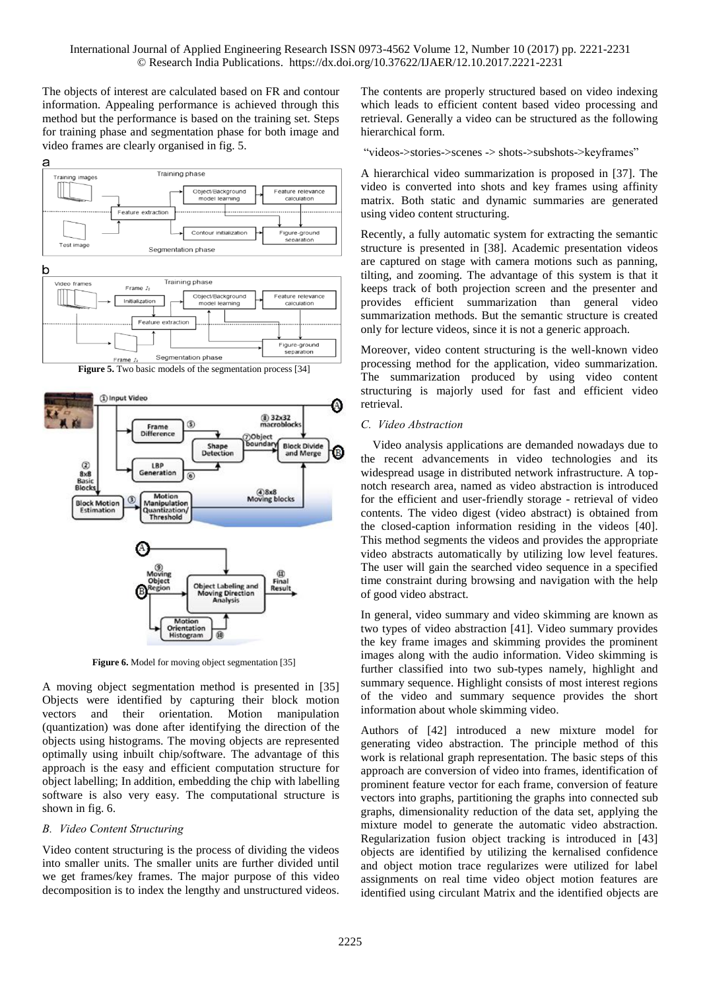The objects of interest are calculated based on FR and contour information. Appealing performance is achieved through this method but the performance is based on the training set. Steps for training phase and segmentation phase for both image and video frames are clearly organised in fig. 5.





Figure 6. Model for moving object segmentation [35]

A moving object segmentation method is presented in [35] Objects were identified by capturing their block motion vectors and their orientation. Motion manipulation (quantization) was done after identifying the direction of the objects using histograms. The moving objects are represented optimally using inbuilt chip/software. The advantage of this approach is the easy and efficient computation structure for object labelling; In addition, embedding the chip with labelling software is also very easy. The computational structure is shown in fig. 6.

# *B. Video Content Structuring*

Video content structuring is the process of dividing the videos into smaller units. The smaller units are further divided until we get frames/key frames. The major purpose of this video decomposition is to index the lengthy and unstructured videos.

The contents are properly structured based on video indexing which leads to efficient content based video processing and retrieval. Generally a video can be structured as the following hierarchical form.

"videos->stories->scenes -> shots->subshots->keyframes"

A hierarchical video summarization is proposed in [37]. The video is converted into shots and key frames using affinity matrix. Both static and dynamic summaries are generated using video content structuring.

Recently, a fully automatic system for extracting the semantic structure is presented in [38]. Academic presentation videos are captured on stage with camera motions such as panning, tilting, and zooming. The advantage of this system is that it keeps track of both projection screen and the presenter and provides efficient summarization than general video summarization methods. But the semantic structure is created only for lecture videos, since it is not a generic approach.

Moreover, video content structuring is the well-known video processing method for the application, video summarization. The summarization produced by using video content structuring is majorly used for fast and efficient video retrieval.

## *C. Video Abstraction*

Video analysis applications are demanded nowadays due to the recent advancements in video technologies and its widespread usage in distributed network infrastructure. A topnotch research area, named as video abstraction is introduced for the efficient and user-friendly storage - retrieval of video contents. The video digest (video abstract) is obtained from the closed-caption information residing in the videos [40]. This method segments the videos and provides the appropriate video abstracts automatically by utilizing low level features. The user will gain the searched video sequence in a specified time constraint during browsing and navigation with the help of good video abstract.

In general, video summary and video skimming are known as two types of video abstraction [41]. Video summary provides the key frame images and skimming provides the prominent images along with the audio information. Video skimming is further classified into two sub-types namely, highlight and summary sequence. Highlight consists of most interest regions of the video and summary sequence provides the short information about whole skimming video.

Authors of [42] introduced a new mixture model for generating video abstraction. The principle method of this work is relational graph representation. The basic steps of this approach are conversion of video into frames, identification of prominent feature vector for each frame, conversion of feature vectors into graphs, partitioning the graphs into connected sub graphs, dimensionality reduction of the data set, applying the mixture model to generate the automatic video abstraction. Regularization fusion object tracking is introduced in [43] objects are identified by utilizing the kernalised confidence and object motion trace regularizes were utilized for label assignments on real time video object motion features are identified using circulant Matrix and the identified objects are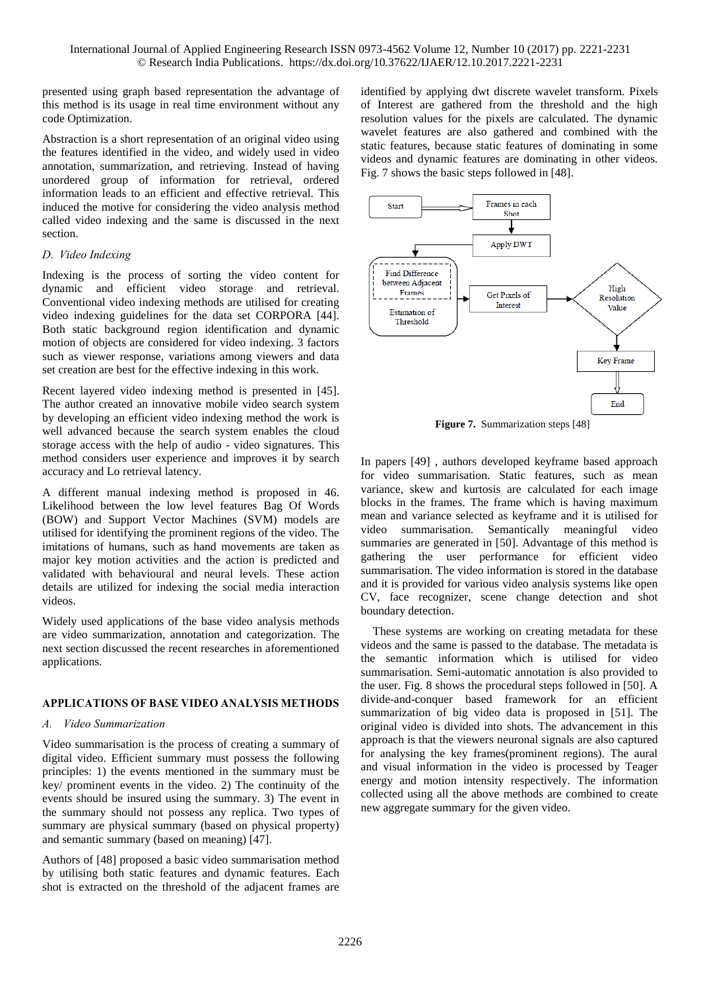presented using graph based representation the advantage of this method is its usage in real time environment without any code Optimization.

Abstraction is a short representation of an original video using the features identified in the video, and widely used in video annotation, summarization, and retrieving. Instead of having unordered group of information for retrieval, ordered information leads to an efficient and effective retrieval. This induced the motive for considering the video analysis method called video indexing and the same is discussed in the next section.

## *D. Video Indexing*

Indexing is the process of sorting the video content for dynamic and efficient video storage and retrieval. Conventional video indexing methods are utilised for creating video indexing guidelines for the data set CORPORA [44]. Both static background region identification and dynamic motion of objects are considered for video indexing. 3 factors such as viewer response, variations among viewers and data set creation are best for the effective indexing in this work.

Recent layered video indexing method is presented in [45]. The author created an innovative mobile video search system by developing an efficient video indexing method the work is well advanced because the search system enables the cloud storage access with the help of audio - video signatures. This method considers user experience and improves it by search accuracy and Lo retrieval latency.

A different manual indexing method is proposed in 46. Likelihood between the low level features Bag Of Words (BOW) and Support Vector Machines (SVM) models are utilised for identifying the prominent regions of the video. The imitations of humans, such as hand movements are taken as major key motion activities and the action is predicted and validated with behavioural and neural levels. These action details are utilized for indexing the social media interaction videos.

Widely used applications of the base video analysis methods are video summarization, annotation and categorization. The next section discussed the recent researches in aforementioned applications.

# **APPLICATIONS OF BASE VIDEO ANALYSIS METHODS**

# *A. Video Summarization*

Video summarisation is the process of creating a summary of digital video. Efficient summary must possess the following principles: 1) the events mentioned in the summary must be key/ prominent events in the video. 2) The continuity of the events should be insured using the summary. 3) The event in the summary should not possess any replica. Two types of summary are physical summary (based on physical property) and semantic summary (based on meaning) [47].

Authors of [48] proposed a basic video summarisation method by utilising both static features and dynamic features. Each shot is extracted on the threshold of the adjacent frames are

identified by applying dwt discrete wavelet transform. Pixels of Interest are gathered from the threshold and the high resolution values for the pixels are calculated. The dynamic wavelet features are also gathered and combined with the static features, because static features of dominating in some videos and dynamic features are dominating in other videos. Fig. 7 shows the basic steps followed in [48].



**Figure 7.** Summarization steps [48]

In papers [49] , authors developed keyframe based approach for video summarisation. Static features, such as mean variance, skew and kurtosis are calculated for each image blocks in the frames. The frame which is having maximum mean and variance selected as keyframe and it is utilised for video summarisation. Semantically meaningful video summaries are generated in [50]. Advantage of this method is gathering the user performance for efficient video summarisation. The video information is stored in the database and it is provided for various video analysis systems like open CV, face recognizer, scene change detection and shot boundary detection.

These systems are working on creating metadata for these videos and the same is passed to the database. The metadata is the semantic information which is utilised for video summarisation. Semi-automatic annotation is also provided to the user. Fig. 8 shows the procedural steps followed in [50]. A divide-and-conquer based framework for an efficient summarization of big video data is proposed in [51]. The original video is divided into shots. The advancement in this approach is that the viewers neuronal signals are also captured for analysing the key frames(prominent regions). The aural and visual information in the video is processed by Teager energy and motion intensity respectively. The information collected using all the above methods are combined to create new aggregate summary for the given video.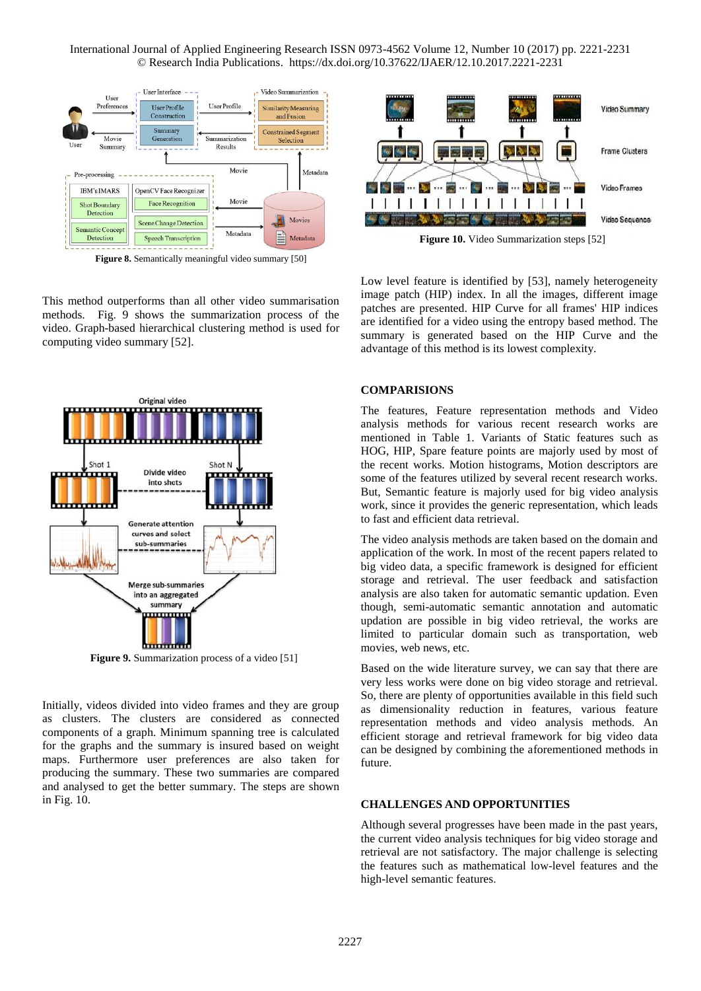

**Figure 8.** Semantically meaningful video summary [50]

This method outperforms than all other video summarisation methods. Fig. 9 shows the summarization process of the video. Graph-based hierarchical clustering method is used for computing video summary [52].



**Figure 9.** Summarization process of a video [51]

Initially, videos divided into video frames and they are group as clusters. The clusters are considered as connected components of a graph. Minimum spanning tree is calculated for the graphs and the summary is insured based on weight maps. Furthermore user preferences are also taken for producing the summary. These two summaries are compared and analysed to get the better summary. The steps are shown in Fig. 10.



**Figure 10.** Video Summarization steps [52]

Low level feature is identified by [53], namely heterogeneity image patch (HIP) index. In all the images, different image patches are presented. HIP Curve for all frames' HIP indices are identified for a video using the entropy based method. The summary is generated based on the HIP Curve and the advantage of this method is its lowest complexity.

#### **COMPARISIONS**

The features, Feature representation methods and Video analysis methods for various recent research works are mentioned in Table 1. Variants of Static features such as HOG, HIP, Spare feature points are majorly used by most of the recent works. Motion histograms, Motion descriptors are some of the features utilized by several recent research works. But, Semantic feature is majorly used for big video analysis work, since it provides the generic representation, which leads to fast and efficient data retrieval.

The video analysis methods are taken based on the domain and application of the work. In most of the recent papers related to big video data, a specific framework is designed for efficient storage and retrieval. The user feedback and satisfaction analysis are also taken for automatic semantic updation. Even though, semi-automatic semantic annotation and automatic updation are possible in big video retrieval, the works are limited to particular domain such as transportation, web movies, web news, etc.

Based on the wide literature survey, we can say that there are very less works were done on big video storage and retrieval. So, there are plenty of opportunities available in this field such as dimensionality reduction in features, various feature representation methods and video analysis methods. An efficient storage and retrieval framework for big video data can be designed by combining the aforementioned methods in future.

### **CHALLENGES AND OPPORTUNITIES**

Although several progresses have been made in the past years, the current video analysis techniques for big video storage and retrieval are not satisfactory. The major challenge is selecting the features such as mathematical low-level features and the high-level semantic features.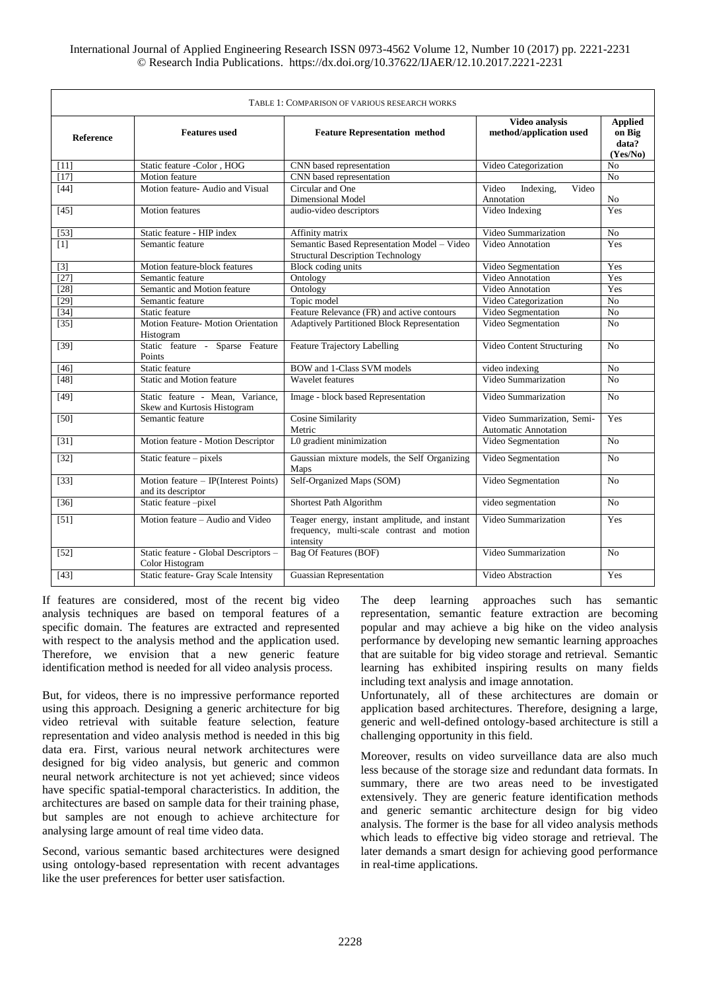| TABLE 1: COMPARISON OF VARIOUS RESEARCH WORKS |                                                                 |                                                                                                          |                                                    |                                               |
|-----------------------------------------------|-----------------------------------------------------------------|----------------------------------------------------------------------------------------------------------|----------------------------------------------------|-----------------------------------------------|
| <b>Reference</b>                              | <b>Features</b> used                                            | <b>Feature Representation method</b>                                                                     | Video analysis<br>method/application used          | <b>Applied</b><br>on Big<br>data?<br>(Yes/No) |
| $[11]$                                        | Static feature -Color, HOG                                      | CNN based representation                                                                                 | Video Categorization                               | No                                            |
| $[17]$                                        | Motion feature                                                  | CNN based representation                                                                                 |                                                    | N <sub>0</sub>                                |
| $[44]$                                        | Motion feature- Audio and Visual                                | Circular and One                                                                                         | Indexing,<br>Video<br>Video                        |                                               |
|                                               |                                                                 | Dimensional Model                                                                                        | Annotation                                         | N <sub>o</sub>                                |
| $[45]$                                        | <b>Motion</b> features                                          | audio-video descriptors                                                                                  | Video Indexing                                     | Yes                                           |
| [53]                                          | Static feature - HIP index                                      | Affinity matrix                                                                                          | Video Summarization                                | N <sub>o</sub>                                |
| [1]                                           | Semantic feature                                                | Semantic Based Representation Model - Video<br><b>Structural Description Technology</b>                  | Video Annotation                                   | Yes                                           |
| $[3]$                                         | Motion feature-block features                                   | Block coding units                                                                                       | Video Segmentation                                 | Yes                                           |
| $[27]$                                        | Semantic feature                                                | Ontology                                                                                                 | <b>Video Annotation</b>                            | Yes                                           |
| $[28]$                                        | Semantic and Motion feature                                     | Ontology                                                                                                 | Video Annotation                                   | Yes                                           |
| $[29]$                                        | Semantic feature                                                | Topic model                                                                                              | Video Categorization                               | N <sub>o</sub>                                |
| $[34]$                                        | Static feature                                                  | Feature Relevance (FR) and active contours                                                               | Video Segmentation                                 | No                                            |
| $[35]$                                        | Motion Feature- Motion Orientation<br>Histogram                 | Adaptively Partitioned Block Representation                                                              | Video Segmentation                                 | N <sub>o</sub>                                |
| $[39]$                                        | Static feature - Sparse Feature<br>Points                       | <b>Feature Trajectory Labelling</b>                                                                      | Video Content Structuring                          | N <sub>o</sub>                                |
| $[46]$                                        | Static feature                                                  | <b>BOW</b> and 1-Class SVM models                                                                        | video indexing                                     | N <sub>o</sub>                                |
| $[48]$                                        | Static and Motion feature                                       | Wavelet features                                                                                         | Video Summarization                                | No                                            |
| [49]                                          | Static feature - Mean, Variance,<br>Skew and Kurtosis Histogram | Image - block based Representation                                                                       | Video Summarization                                | No                                            |
| $[50]$                                        | Semantic feature                                                | <b>Cosine Similarity</b><br>Metric                                                                       | Video Summarization, Semi-<br>Automatic Annotation | Yes                                           |
| $[31]$                                        | Motion feature - Motion Descriptor                              | L0 gradient minimization                                                                                 | Video Segmentation                                 | No                                            |
| $[32]$                                        | Static feature - pixels                                         | Gaussian mixture models, the Self Organizing<br>Maps                                                     | Video Segmentation                                 | N <sub>o</sub>                                |
| $[33]$                                        | Motion feature $-$ IP(Interest Points)<br>and its descriptor    | Self-Organized Maps (SOM)                                                                                | Video Segmentation                                 | N <sub>0</sub>                                |
| $[36]$                                        | Static feature-pixel                                            | Shortest Path Algorithm                                                                                  | video segmentation                                 | N <sub>o</sub>                                |
| [51]                                          | Motion feature – Audio and Video                                | Teager energy, instant amplitude, and instant<br>frequency, multi-scale contrast and motion<br>intensity | Video Summarization                                | Yes                                           |
| $[52]$                                        | Static feature - Global Descriptors -<br>Color Histogram        | <b>Bag Of Features (BOF)</b>                                                                             | Video Summarization                                | N <sub>0</sub>                                |
| [43]                                          | Static feature- Gray Scale Intensity                            | Guassian Representation                                                                                  | Video Abstraction                                  | Yes                                           |

If features are considered, most of the recent big video analysis techniques are based on temporal features of a specific domain. The features are extracted and represented with respect to the analysis method and the application used. Therefore, we envision that a new generic feature identification method is needed for all video analysis process.

But, for videos, there is no impressive performance reported using this approach. Designing a generic architecture for big video retrieval with suitable feature selection, feature representation and video analysis method is needed in this big data era. First, various neural network architectures were designed for big video analysis, but generic and common neural network architecture is not yet achieved; since videos have specific spatial-temporal characteristics. In addition, the architectures are based on sample data for their training phase, but samples are not enough to achieve architecture for analysing large amount of real time video data.

Second, various semantic based architectures were designed using ontology-based representation with recent advantages like the user preferences for better user satisfaction.

The deep learning approaches such has semantic representation, semantic feature extraction are becoming popular and may achieve a big hike on the video analysis performance by developing new semantic learning approaches that are suitable for big video storage and retrieval. Semantic learning has exhibited inspiring results on many fields including text analysis and image annotation.

Unfortunately, all of these architectures are domain or application based architectures. Therefore, designing a large, generic and well-defined ontology-based architecture is still a challenging opportunity in this field.

Moreover, results on video surveillance data are also much less because of the storage size and redundant data formats. In summary, there are two areas need to be investigated extensively. They are generic feature identification methods and generic semantic architecture design for big video analysis. The former is the base for all video analysis methods which leads to effective big video storage and retrieval. The later demands a smart design for achieving good performance in real-time applications.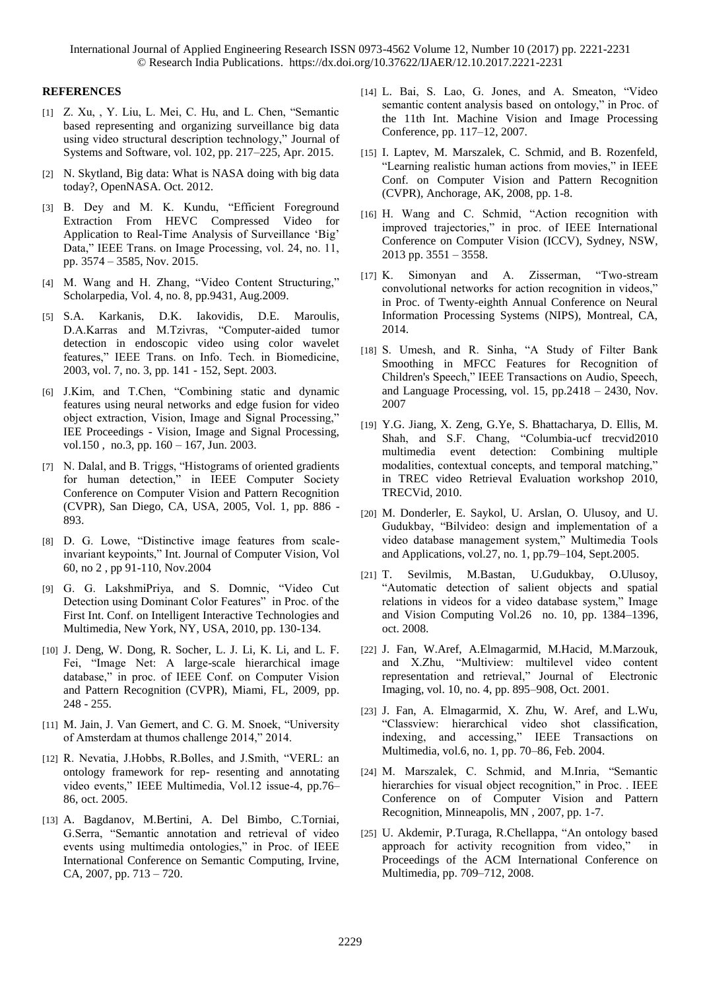#### **REFERENCES**

- [1] Z. Xu, , Y. Liu, L. Mei, C. Hu, and L. Chen, "Semantic based representing and organizing surveillance big data using video structural description technology," Journal of Systems and Software, vol. 102, pp. 217–225, Apr. 2015.
- [2] N. Skytland, Big data: What is NASA doing with big data today?, OpenNASA. Oct. 2012.
- [3] B. Dey and M. K. Kundu, "Efficient Foreground Extraction From HEVC Compressed Video for Application to Real-Time Analysis of Surveillance 'Big' Data," IEEE Trans. on Image Processing, vol. 24, no. 11, pp. 3574 – 3585, Nov. 2015.
- [4] M. Wang and H. Zhang, "Video Content Structuring," Scholarpedia, Vol. 4, no. 8, pp.9431, Aug.2009.
- [5] S.A. Karkanis, D.K. Iakovidis, D.E. Maroulis, D.A.Karras and M.Tzivras, "Computer-aided tumor detection in endoscopic video using color wavelet features," IEEE Trans. on Info. Tech. in Biomedicine, 2003, vol. 7, no. 3, pp. 141 - 152, Sept. 2003.
- [6] J.Kim, and T.Chen, "Combining static and dynamic features using neural networks and edge fusion for video object extraction, Vision, Image and Signal Processing," IEE Proceedings - Vision, Image and Signal Processing, vol.150 , no.3, pp. 160 – 167, Jun. 2003.
- [7] N. Dalal, and B. Triggs, "Histograms of oriented gradients for human detection," in IEEE Computer Society Conference on Computer Vision and Pattern Recognition (CVPR), San Diego, CA, USA, 2005, Vol. 1, pp. 886 - 893.
- [8] D. G. Lowe, "Distinctive image features from scaleinvariant keypoints," Int. Journal of Computer Vision, Vol 60, no 2 , pp 91-110, Nov.2004
- [9] G. G. LakshmiPriya, and S. Domnic, "Video Cut Detection using Dominant Color Features" in Proc. of the First Int. Conf. on Intelligent Interactive Technologies and Multimedia, New York, NY, USA, 2010, pp. 130-134.
- [10] J. Deng, W. Dong, R. Socher, L. J. Li, K. Li, and L. F. Fei, "Image Net: A large-scale hierarchical image database," in proc. of IEEE Conf. on Computer Vision and Pattern Recognition (CVPR), Miami, FL, 2009, pp. 248 - 255.
- [11] M. Jain, J. Van Gemert, and C. G. M. Snoek, "University of Amsterdam at thumos challenge 2014," 2014.
- [12] R. Nevatia, J.Hobbs, R.Bolles, and J.Smith, "VERL: an ontology framework for rep- resenting and annotating video events," IEEE Multimedia, Vol.12 issue-4, pp.76– 86, oct. 2005.
- [13] A. Bagdanov, M.Bertini, A. Del Bimbo, C.Torniai, G.Serra, "Semantic annotation and retrieval of video events using multimedia ontologies," in Proc. of IEEE International Conference on Semantic Computing, Irvine, CA, 2007, pp. 713 – 720.
- [14] L. Bai, S. Lao, G. Jones, and A. Smeaton, "Video semantic content analysis based on ontology," in Proc. of the 11th Int. Machine Vision and Image Processing Conference, pp. 117–12, 2007.
- [15] I. Laptev, M. Marszalek, C. Schmid, and B. Rozenfeld, "Learning realistic human actions from movies," in IEEE Conf. on Computer Vision and Pattern Recognition (CVPR), Anchorage, AK, 2008, pp. 1-8.
- [16] H. Wang and C. Schmid, "Action recognition with improved trajectories," in proc. of IEEE International Conference on Computer Vision (ICCV), Sydney, NSW,  $2013$  pp.  $3551 - 3558$ .
- [17] K. Simonyan and A. Zisserman, "Two-stream convolutional networks for action recognition in videos," in Proc. of Twenty-eighth Annual Conference on Neural Information Processing Systems (NIPS), Montreal, CA, 2014.
- [18] S. Umesh, and R. Sinha, "A Study of Filter Bank Smoothing in MFCC Features for Recognition of Children's Speech," IEEE Transactions on Audio, Speech, and Language Processing, vol. 15, pp.2418 – 2430, Nov. 2007
- [19] Y.G. Jiang, X. Zeng, G.Ye, S. Bhattacharya, D. Ellis, M. Shah, and S.F. Chang, "Columbia-ucf trecvid2010 multimedia event detection: Combining multiple modalities, contextual concepts, and temporal matching," in TREC video Retrieval Evaluation workshop 2010, TRECVid, 2010.
- [20] M. Donderler, E. Saykol, U. Arslan, O. Ulusoy, and U. Gudukbay, "Bilvideo: design and implementation of a video database management system," Multimedia Tools and Applications, vol.27, no. 1, pp.79–104, Sept.2005.
- [21] T. Sevilmis, M.Bastan, U.Gudukbay, O.Ulusoy, "Automatic detection of salient objects and spatial relations in videos for a video database system," Image and Vision Computing Vol.26 no. 10, pp. 1384–1396, oct. 2008.
- [22] J. Fan, W.Aref, A.Elmagarmid, M.Hacid, M.Marzouk, and X.Zhu, "Multiview: multilevel video content representation and retrieval," Journal of Electronic Imaging, vol. 10, no. 4, pp. 895–908, Oct. 2001.
- [23] J. Fan, A. Elmagarmid, X. Zhu, W. Aref, and L.Wu, "Classview: hierarchical video shot classification, indexing, and accessing," IEEE Transactions on Multimedia, vol.6, no. 1, pp. 70–86, Feb. 2004.
- [24] M. Marszalek, C. Schmid, and M.Inria, "Semantic hierarchies for visual object recognition," in Proc. . IEEE Conference on of Computer Vision and Pattern Recognition, Minneapolis, MN , 2007, pp. 1-7.
- [25] U. Akdemir, P.Turaga, R.Chellappa, "An ontology based approach for activity recognition from video," in Proceedings of the ACM International Conference on Multimedia, pp. 709–712, 2008.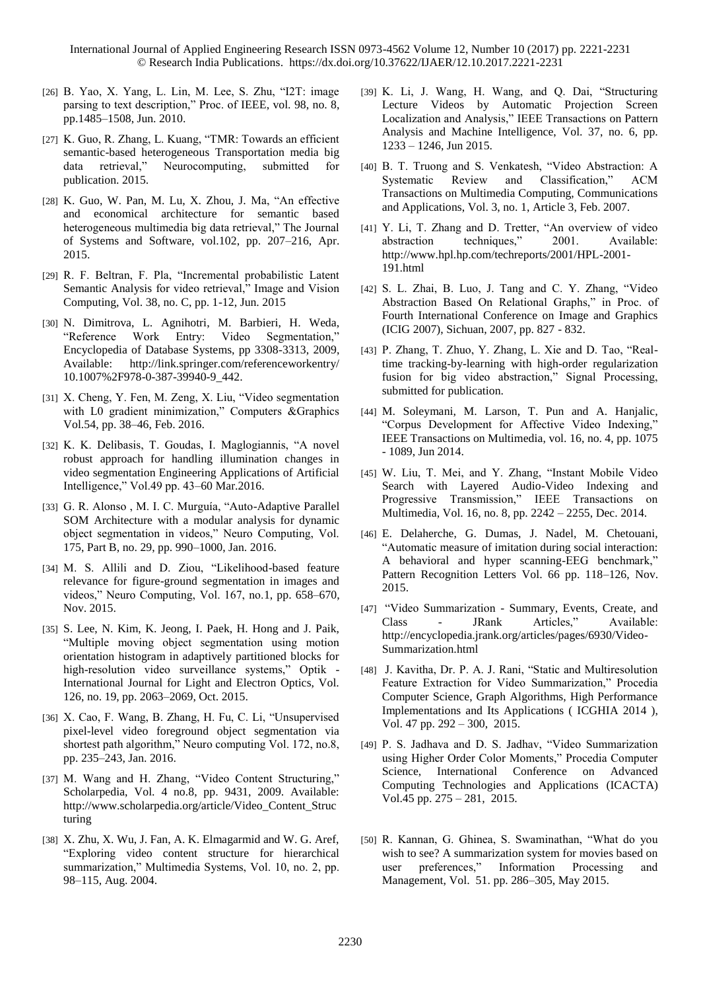- [26] B. Yao, X. Yang, L. Lin, M. Lee, S. Zhu, "I2T: image parsing to text description," Proc. of IEEE, vol. 98, no. 8, pp.1485–1508, Jun. 2010.
- [27] K. Guo, R. Zhang, L. Kuang, "TMR: Towards an efficient semantic-based heterogeneous Transportation media big data retrieval," Neurocomputing, submitted for publication. 2015.
- [28] K. Guo, W. Pan, M. Lu, X. Zhou, J. Ma, "An effective and economical architecture for semantic based heterogeneous multimedia big data retrieval," The Journal of Systems and Software, vol.102, pp. 207–216, Apr. 2015.
- [29] R. F. Beltran, F. Pla, "Incremental probabilistic Latent Semantic Analysis for video retrieval," Image and Vision Computing, Vol. 38, no. C, pp. 1-12, Jun. 2015
- [30] N. Dimitrova, L. Agnihotri, M. Barbieri, H. Weda, "Reference Work Entry: Video Segmentation," Encyclopedia of Database Systems, pp 3308-3313, 2009, Available: http://link.springer.com/referenceworkentry/ 10.1007%2F978-0-387-39940-9\_442.
- [31] X. Cheng, Y. Fen, M. Zeng, X. Liu, "Video segmentation with L0 gradient minimization," Computers &Graphics Vol.54, pp. 38–46, Feb. 2016.
- [32] K. K. Delibasis, T. Goudas, I. Maglogiannis, "A novel robust approach for handling illumination changes in video segmentation Engineering Applications of Artificial Intelligence," Vol.49 pp. 43–60 Mar.2016.
- [33] G. R. Alonso, M. I. C. Murguía, "Auto-Adaptive Parallel SOM Architecture with a modular analysis for dynamic object segmentation in videos," Neuro Computing, Vol. 175, Part B, no. 29, pp. 990–1000, Jan. 2016.
- [34] M. S. Allili and D. Ziou, "Likelihood-based feature relevance for figure-ground segmentation in images and videos," Neuro Computing, Vol. 167, no.1, pp. 658–670, Nov. 2015.
- [35] S. Lee, N. Kim, K. Jeong, I. Paek, H. Hong and J. Paik, "Multiple moving object segmentation using motion orientation histogram in adaptively partitioned blocks for high-resolution video surveillance systems," Optik - International Journal for Light and Electron Optics, Vol. 126, no. 19, pp. 2063–2069, Oct. 2015.
- [36] X. Cao, F. Wang, B. Zhang, H. Fu, C. Li, "Unsupervised pixel-level video foreground object segmentation via shortest path algorithm," Neuro computing Vol. 172, no.8, pp. 235–243, Jan. 2016.
- [37] M. Wang and H. Zhang, "Video Content Structuring," Scholarpedia, Vol. 4 no.8, pp. 9431, 2009. Available: http://www.scholarpedia.org/article/Video\_Content\_Struc turing
- [38] X. Zhu, X. Wu, J. Fan, A. K. Elmagarmid and W. G. Aref, "Exploring video content structure for hierarchical summarization," Multimedia Systems, Vol. 10, no. 2, pp. 98–115, Aug. 2004.
- [39] K. Li, J. Wang, H. Wang, and Q. Dai, "Structuring Lecture Videos by Automatic Projection Screen Localization and Analysis," IEEE Transactions on Pattern Analysis and Machine Intelligence, Vol. 37, no. 6, pp. 1233 – 1246, Jun 2015.
- [40] B. T. Truong and S. Venkatesh, "Video Abstraction: A Systematic Review and Classification," ACM Transactions on Multimedia Computing, Communications and Applications, Vol. 3, no. 1, Article 3, Feb. 2007.
- [41] Y. Li, T. Zhang and D. Tretter, "An overview of video abstraction techniques," 2001. Available: http://www.hpl.hp.com/techreports/2001/HPL-2001- 191.html
- [42] S. L. Zhai, B. Luo, J. Tang and C. Y. Zhang, "Video Abstraction Based On Relational Graphs," in Proc. of Fourth International Conference on Image and Graphics (ICIG 2007), Sichuan, 2007, pp. 827 - 832.
- [43] P. Zhang, T. Zhuo, Y. Zhang, L. Xie and D. Tao, "Realtime tracking-by-learning with high-order regularization fusion for big video abstraction," Signal Processing, submitted for publication.
- [44] M. Soleymani, M. Larson, T. Pun and A. Hanjalic, "Corpus Development for Affective Video Indexing," IEEE Transactions on Multimedia, vol. 16, no. 4, pp. 1075 - 1089, Jun 2014.
- [45] W. Liu, T. Mei, and Y. Zhang, "Instant Mobile Video Search with Layered Audio-Video Indexing and Progressive Transmission," IEEE Transactions on Multimedia, Vol. 16, no. 8, pp. 2242 – 2255, Dec. 2014.
- [46] E. Delaherche, G. Dumas, J. Nadel, M. Chetouani, "Automatic measure of imitation during social interaction: A behavioral and hyper scanning-EEG benchmark," Pattern Recognition Letters Vol. 66 pp. 118–126, Nov. 2015.
- [47] "Video Summarization Summary, Events, Create, and Class - JRank Articles," Available: http://encyclopedia.jrank.org/articles/pages/6930/Video-Summarization.html
- [48] J. Kavitha, Dr. P. A. J. Rani, "Static and Multiresolution Feature Extraction for Video Summarization," Procedia Computer Science, Graph Algorithms, High Performance Implementations and Its Applications ( ICGHIA 2014 ), Vol. 47 pp. 292 – 300, 2015.
- [49] P. S. Jadhava and D. S. Jadhav, "Video Summarization using Higher Order Color Moments," Procedia Computer Science, International Conference on Advanced Computing Technologies and Applications (ICACTA) Vol.45 pp. 275 – 281, 2015.
- [50] R. Kannan, G. Ghinea, S. Swaminathan, "What do you wish to see? A summarization system for movies based on user preferences," Information Processing and Management, Vol. 51. pp. 286–305, May 2015.